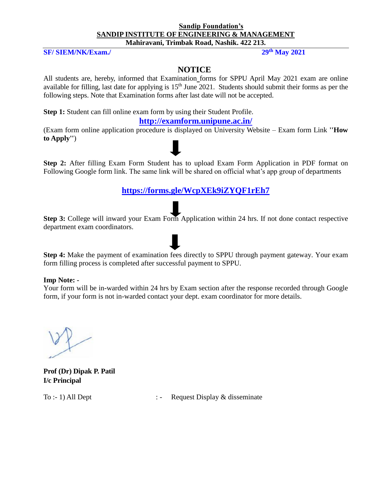#### **Sandip Foundation's SANDIP INSTITUTE OF ENGINEERING & MANAGEMENT Mahiravani, Trimbak Road, Nashik. 422 213.**

#### **SF/ SIEM/NK/Exam./ 29th May 2021**

#### **NOTICE**

All students are, hereby, informed that Examination forms for SPPU April May 2021 exam are online available for filling, last date for applying is  $15<sup>th</sup>$  June 2021. Students should submit their forms as per the following steps. Note that Examination forms after last date will not be accepted.

**Step 1:** Student can fill online exam form by using their Student Profile.

#### **<http://examform.unipune.ac.in/>**

(Exam form online application procedure is displayed on University Website – Exam form Link **''How to Apply''**)

**Step 2:** After filling Exam Form Student has to upload Exam Form Application in PDF format on Following Google form link. The same link will be shared on official what's app group of departments

**<https://forms.gle/WcpXEk9iZYQF1rEh7>**

**Step 3:** College will inward your Exam Form Application within 24 hrs. If not done contact respective department exam coordinators.

**Step 4:** Make the payment of examination fees directly to SPPU through payment gateway. Your exam form filling process is completed after successful payment to SPPU.

#### **Imp Note: -**

Your form will be in-warded within 24 hrs by Exam section after the response recorded through Google form, if your form is not in-warded contact your dept. exam coordinator for more details.

**Prof (Dr) Dipak P. Patil I/c Principal**

To :- 1) All Dept :- Request Display & disseminate